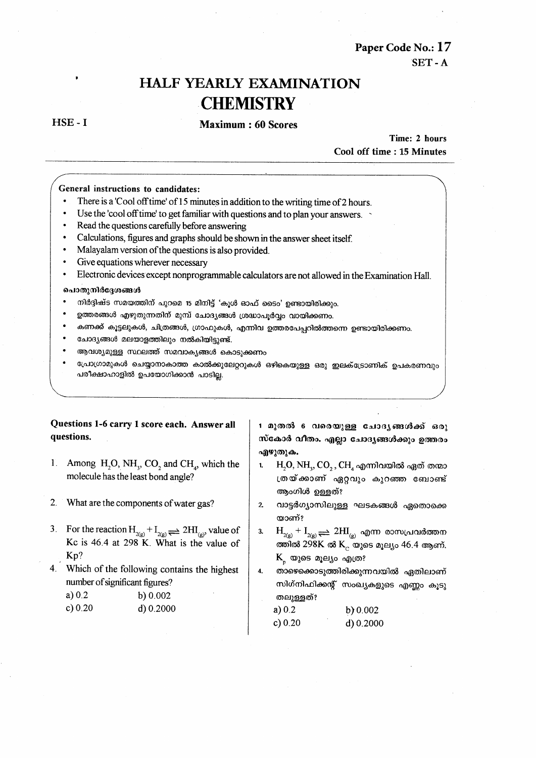Paper Code No.: 17 SET-A

# **HALF YEARLY EXAMINATION CHEMISTRY**

 $HSE - I$ 

#### Maximum: 60 Scores

Time: 2 hours Cool off time: 15 Minutes

#### General instructions to candidates:

- There is a 'Cool off time' of 15 minutes in addition to the writing time of 2 hours.
- Use the 'cool off time' to get familiar with questions and to plan your answers.
- Read the questions carefully before answering
- Calculations, figures and graphs should be shown in the answer sheet itself.
- Malayalam version of the questions is also provided.
- Give equations wherever necessary
- Electronic devices except nonprogrammable calculators are not allowed in the Examination Hall.

#### ചൊതുനിർദ്ദേശങ്ങൾ

- നിർദ്ദിഷ്ട സമയത്തിന് പുറമെ 15 മിനിട്ട് 'കൂൾ ഓഫ് ടൈം' ഉണ്ടായിരിക്കും.
- ഉത്തരങ്ങൾ എഴുതുന്നതിന് മുമ്പ് ചോദ്യങ്ങൾ ശ്രദ്ധാപൂർവ്വം വായിക്കണം.
- കണക്ക് കൂട്ടലുകൾ, ചിത്രങ്ങൾ, ഗ്രാഫുകൾ, എന്നിവ ഉത്തരപേപ്പറിൽത്തന്നെ ഉണ്ടായിരിക്കണം.
- ചോദ്യങ്ങൾ മലയാളത്തിലും നൽകിയിട്ടുണ്ട്.
- ആവശ്യമുള്ള സ്ഥലത്ത് സമവാകൃങ്ങൾ കൊടുക്കണം
- പ്രോഗ്രാമുകൾ ചെയ്യാനാകാത്ത കാൽക്കുലേറ്ററുകൾ ഒഴികെയുള്ള ഒരു ഇലക്ട്രോണിക് ഉപകരണവും പരീക്ഷാഹാളിൽ ഉപയോഗിക്കാൻ പാടില.

## Questions 1-6 carry 1 score each. Answer all questions.

- 1. Among H<sub>2</sub>O, NH<sub>3</sub>, CO<sub>2</sub> and CH<sub>2</sub>, which the molecule has the least bond angle?
- What are the components of water gas?  $2.$
- 3. For the reaction  $H_{2(g)} + I_{2(g)} \rightleftharpoons 2HI_{(g)}$ , value of Kc is 46.4 at 298 K. What is the value of Kp?
- 4. Which of the following contains the highest number of significant figures?

| a) $0.2$  | b) 0.002  |
|-----------|-----------|
| c) $0.20$ | d) 0.2000 |

1 മുതൽ 6 വരെയുള്ള ചോദൃങ്ങൾക്ക് ഒരു സ്കോർ വിതം. എല്ലാ ചോദൃങ്ങൾക്കും ഉത്തരം എഴുതുക.

- $H, O, NH, CO, CH$ , എന്നിവയിൽ ഏത് തന്മാ  $\mathbf{1}$ ത്രയ്ക്കാണ് ഏറ്റവും കൂറഞ്ഞ ബോണ്ട് ആംഗിൾ ഉള്ളത്?
- $2.$ വാട്ടർഗ്യാസിലുള്ള ഘടകങ്ങൾ ഏതൊക്കെ യാണ്?
- $H_{2(g)} + I_{2(g)} \rightleftharpoons 2HI_{(g)}$  എന്ന രാസപ്രവർത്തന  $3.$ ത്തിൽ 298K ൽ K<sub>c</sub> യുടെ മൂല്യം 46.4 ആണ്. K യുടെ മൂല്യം എത്ര?
- $\overline{\mathbf{4}}$ താഴെക്കൊടുത്തിരിക്കുന്നവയിൽ ഏതിലാണ് സിഗ്നിഫിക്കന്റ് സംഖ്യകളുടെ എണ്ണം കൂടു തലുള്ളത്?

| a) 0.2    | b) $0.002$ |
|-----------|------------|
| c) $0.20$ | d) 0.2000  |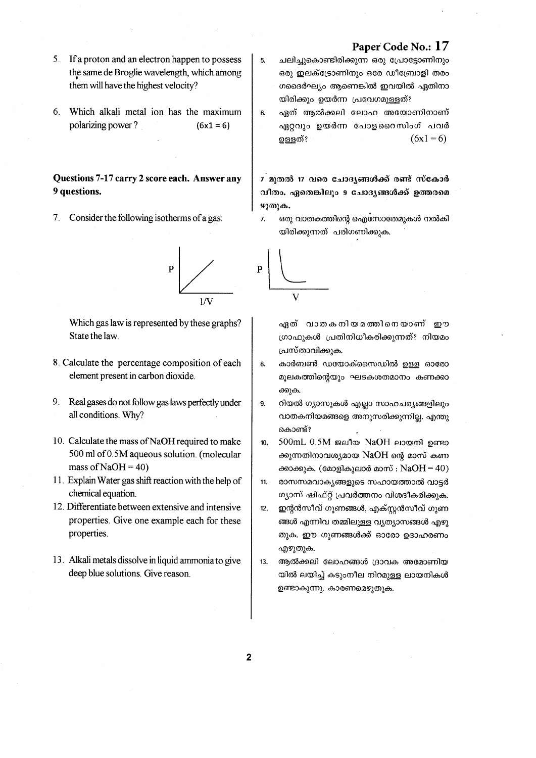- 5. If a proton and an electron happen to possess the same de Broglie wavelength, which among them will have the highest velocity?
- 6. Which alkali metal ion has the maximum polarizing power?  $(6x1 = 6)$

## Questions 7-17 carry 2 score each. Answer any 9 questions.

7. Consider the following isotherms of a gas:



Which gas law is represented by these graphs? State the law.

- 8. Calculate the percentage composition of each element present in carbon dioxide.
- $9<sub>1</sub>$ Real gases do not follow gas laws perfectly under all conditions. Why?
- 10. Calculate the mass of NaOH required to make 500 ml of 0.5M aqueous solution. (molecular mass of  $NaOH = 40$ )
- 11. Explain Water gas shift reaction with the help of chemical equation.
- 12. Differentiate between extensive and intensive properties. Give one example each for these properties.
- 13. Alkali metals dissolve in liquid ammonia to give deep blue solutions. Give reason.
- ചലിച്ചുകൊണ്ടിരിക്കുന്ന ഒരു പ്രോട്ടോണിനും ഒരു ഇലക്ട്രോണിനും ഒരേ ഡീബ്രോളി തരം ഗദൈർഘ്യം ആണെങ്കിൽ ഇവയിൽ ഏതിനാ യിരിക്കും ഉയർന്ന പ്രവേഗമുള്ളത്?
- $6.$ ഏത് ആൽക്കലി ലോഹ അയോണിനാണ് ഏറ്റവും ഉയർന്ന പോളറൈസിംഗ് പവർ  $(6x1 = 6)$ ഉള്ളത്?

7 മുതൽ 17 വരെ ചോദ്യങ്ങൾക്ക് രണ്ട് സ്കോർ വീതം. ഏതെങ്കിലും 9 ചോദൃങ്ങൾക്ക് ഉത്തരമെ  $\Psi(\mathfrak{D})$ .

 $\overline{z}$ ഒരു വാതകത്തിന്റെ ഐസോതേമുകൾ നൽകി യിരിക്കുന്നത് പരിഗണിക്കുക.



5.

ഏത് വാതകനിയമത്തിനെയാണ് ഈ ഗ്രാഫുകൾ പ്രതിനിധീകരിക്കുന്നത്? നിയമം പ്രസ്താവിക്കുക.

- കാർബൺ ഡയോക്സൈഡിൽ ഉള്ള ഓരോ 8. മൂലകത്തിന്റെയും ഘടകശതമാനം കണക്കാ ക്കുക.
- 9. റിയൽ ഗ്യാസുകൾ എല്ലാ സാഹചര്യങ്ങളിലും വാതകനിയമങ്ങളെ അനുസരിക്കുന്നില്ല. എന്തു കൊണ്ട്?
- $10<sub>1</sub>$ 500mL 0.5M ജലീയ NaOH ലായനി ഉണ്ടാ ക്കുന്നതിനാവശ്യമായ NaOH ന്റെ മാസ് കണ ക്കാക്കുക. (മോളികുലാർ മാസ് :  $NaOH = 40$ )
- രാസസമവാകൃങ്ങളുടെ സഹായത്താൽ വാട്ടർ 11. ഗ്യാസ് ഷിഫ്റ്റ് പ്രവർത്തനം വിശദീകരിക്കുക.
- $12.$ ഇന്റൻസീവ് ഗുണങ്ങൾ, എക്സ്ലൻസീവ് ഗുണ ങ്ങൾ എന്നിവ തമ്മിലുള്ള വ്യത്യാസങ്ങൾ എഴു തുക. ഈ ഗുണങ്ങൾക്ക് ഓരോ ഉദാഹരണം എഴുതുക.
- ആൽക്കലി ലോഹങ്ങൾ ദ്രാവക അമോണിയ 13. യിൽ ലയിച്ച് കടുംനീല നിറമുള്ള ലായനികൾ ഉണ്ടാകുന്നു. കാരണമെഴുതുക.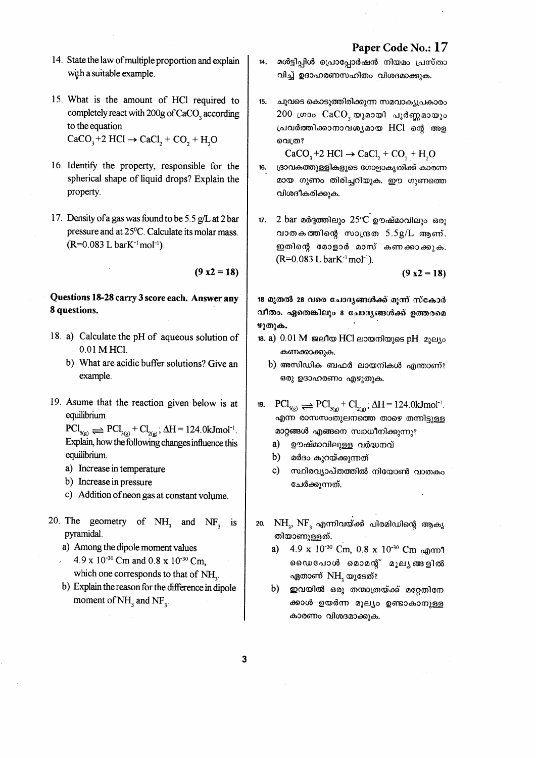- 14. State the law of multiple proportion and explain with a suitable example.
- 15. What is the amount of HCl required to completely react with 200g of CaCO<sub>3</sub> according to the equation  $CaCO<sub>3</sub>+2 HCl \rightarrow CaCl<sub>2</sub> + CO<sub>3</sub> + H<sub>2</sub>O$
- 16. Identify the property, responsible for the spherical shape of liquid drops? Explain the property.
- 17. Density of a gas was found to be 5.5 g/L at 2 bar pressure and at 25°C. Calculate its molar mass.  $(R=0.083$  L bar $K^{-1}$  mol<sup>-1</sup>).

 $(9 x2 = 18)$ 

## Questions 18-28 carry 3 score each. Answer any 8 questions.

- 18. a) Calculate the pH of aqueous solution of 0.01 M HCl.
	- b) What are acidic buffer solutions? Give an example.
- 19. Asume that the reaction given below is at equilibrium

 $\text{PCl}_{s(\mathbf{g})} \rightleftharpoons \text{PCl}_{3(\mathbf{g})} + \text{Cl}_{2(\mathbf{g})}$ ;  $\Delta H = 124.0 \text{kJmol}^{-1}$ . Explain, how the following changes influence this equilibrium.

- a) Increase in temperature
- b) Increase in pressure
- c) Addition of neon gas at constant volume.
- 20. The geometry of  $NH_3$  and  $NF_2$  is pyramidal.
	- a) Among the dipole moment values 4.9 x 10<sup>-30</sup> Cm and 0.8 x 10<sup>-30</sup> Cm. which one corresponds to that of NH<sub>2</sub>.
	- b) Explain the reason for the difference in dipole moment of NH<sub>3</sub> and NF<sub>3</sub>.
- മൾട്ടിപ്പിൾ പ്രൊപ്പോർഷൻ നിയമം പ്രസ്താ  $14.$ വിച്ച് ഉദാഹരണസഹിതം വിശദമാക്കുക.
- $15.$ ചുവടെ കൊടുത്തിരിക്കുന്ന സമവാക്യപ്രകാരം  $200$  ഗ്രാം  $CaCO$ , യുമായി പൂർണ്ണമായും പ്രവർത്തിക്കാനാവശ്യമായ HCl ന്റെ അള വെത്ര?
- $CaCO<sub>3</sub>+2 HCl \rightarrow CaCl<sub>2</sub> + CO<sub>3</sub> + H<sub>2</sub>O$ ദ്രാവകത്തുള്ളികളുടെ ഗോളാകൃതിക്ക് കാരണ 16. മായ ഗുണം തിരിച്ചറിയുക. ഈ ഗുണത്തെ വിശദീകരിക്കുക.
- 2 bar മർദ്ദത്തിലും  $25^{\circ}$ ് ഊഷ്മാവിലും ഒരു  $17.$ വാതകത്തിന്റെ സാന്ദ്രത  $5.5g/L$  ആണ്. ഇതിന്റെ മോളാർ മാസ് കണക്കാക്കുക.  $(R=0.083$  L barK<sup>-1</sup> mol<sup>-1</sup>).

 $(9 x2 = 18)$ 

18 മുതൽ 28 വരെ ചോദ്യങ്ങൾക്ക് മൂന്ന് സ്കോർ വീതം. ഏതെങ്കിലും 8 ചോദ്യങ്ങൾക്ക് ഉത്തരമെ ഴുതുക.

- 18. a) 0.01 M ജലീയ HCl ലായനിയുടെ pH മൂല്യം കണക്കാക്കുക.
	- b) അസിഡിക ബഫർ ലായനികൾ എന്താണ്? ഒരു ഉദാഹരണം എഴുതുക.
- $\text{PCl}_{\text{S(g)}} \rightleftharpoons \text{PCl}_{\text{S(g)}} + \text{Cl}_{\text{S(g)}}$ ;  $\Delta H = 124.0 \text{kJmol}^{-1}$ 19. എന്ന രാസസംതുലനത്തെ താഴെ തന്നിട്ടുള്ള മാറ്റങ്ങൾ എങ്ങനെ സ്വാധീനിക്കുന്നു?
	- $a)$ ഊഷ്മാവിലുള്ള വർദ്ധനവ്
	- b) മർദം കുറയ്ക്കുന്നത്
	- $c)$ സ്ഥിരവ്യാപ്തത്തിൽ നിയോൺ വാതകം ചേർക്കുന്നത്.
- 20.  $\mathrm{NH}_3,\,\mathrm{NF}_3$  എന്നിവയ്ക്ക് പിരമിഡിന്റെ ആകൃ തിയാണുള്ളത്.
	- 4.9 x 10<sup>-30</sup> Cm, 0.8 x 10<sup>-30</sup> Cm onm?  $a)$ ഡൈപോൾ മൊമന്റ് മൂല്യങ്ങളിൽ ഏതാണ് NH, യുടേത്?
	- $b)$ ഇവയിൽ ഒരു തന്മാത്രയ്ക്ക് മറ്റേതിനേ ക്കാൾ ഉയർന്ന മൂല്യം ഉണ്ടാകാനുള്ള കാരണം വിശദമാക്കുക.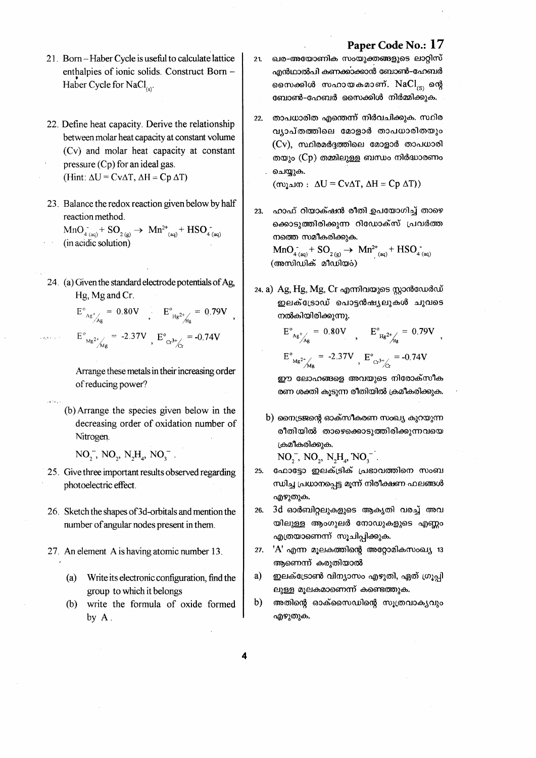- 21. Born-Haber Cycle is useful to calculate lattice enthalpies of ionic solids. Construct Born -Haber Cycle for NaCl<sub>(e)</sub>
- 22. Define heat capacity. Derive the relationship between molar heat capacity at constant volume (Cv) and molar heat capacity at constant pressure  $(Cp)$  for an ideal gas. (Hint:  $\Delta U = Cv\Delta T$ ,  $\Delta H = Cp \Delta T$ )
- 23. Balance the redox reaction given below by half reaction method.

 $MnO_{4(aq)}^+$  SO<sub>2(g)</sub>  $\rightarrow$   $Mn^{2+}$ <sub>(aq)</sub> + HSO<sub>4(aq)</sub> (in acidic solution)

- 24. (a) Given the standard electrode potentials of Ag. Hg, Mg and Cr.
	- $E^{\circ}{}_{Ag}{}^{+}{}_{Ag} = 0.80V$   $E^{\circ}{}_{Hg}{}^{2}{}_{Hg} = 0.79V$ ,  $E^{\circ}_{Mg^{2+}$  / $\frac{1}{2}$  = -2.37V  $E^{\circ}_{Cr^{3+}$  / $\frac{1}{2}$  = -0.74V

Arrange these metals in their increasing order of reducing power?

(b) Arrange the species given below in the decreasing order of oxidation number of Nitrogen.

 $NO_2^-$ ,  $NO_2$ ,  $N_2H_3$ ,  $NO_3^-$ .

- 25. Give three important results observed regarding photoelectric effect.
- 26. Sketch the shapes of 3d-orbitals and mention the number of angular nodes present in them.
- 27. An element A is having atomic number 13.
	- (a) Write its electronic configuration, find the group to which it belongs
	- $(b)$ write the formula of oxide formed by A.

ഖര-അയോണിക സംയുക്തങ്ങളുടെ ലാറ്റിസ് എൻഥാൽപി കണക്കാക്കാൻ ബോൺ–ഹേബർ സൈക്കിൾ സഹായകമാണ്.  $NaCl_{\infty}$  ന്റെ ബോൺ–ഹേബർ സൈക്കിൾ നിർമ്മിക്കുക.

 $21.$ 

താപധാരിത എന്തെന്ന് നിർവചിക്കുക. സ്ഥിര 22. വ്യാപ്തത്തിലെ മോളാർ താപധാരിതയും (Cy), സ്ഥിരമർദത്തിലെ മോളാർ താപധാരി തയും (Cp) തമ്മിലുള്ള ബന്ധം നിർദ്ധാരണം ചെയ്യുക.

 $(m<sub>l</sub> \triangle w : \triangle U = Cv\triangle T, \triangle H = Cp \triangle T)$ 

ഹാഫ് റിയാക്ഷൻ രീതി ഉപയോഗിച്ച് താഴെ 23. ക്കൊടുത്തിരിക്കുന്ന റിഡോക്സ് പ്രവർത്ത നത്തെ സമീകരിക്കുക.

 $MnO_{4(aq)}^+ SO_{2(g)} \to Mn^{2+} HSO_{4(aq)}^+ HSO_{4(aq)}^-$ (അസിഡിക് മീഡിയറ്)

24. a) Ag, Hg, Mg, Cr എന്നിവയുടെ സ്റ്റാൻഡേർഡ് ഇലക്ട്രോഡ് പൊട്ടൻഷ്യലുകൾ ചുവടെ നൽകിയിരിക്കുന്നു.

> $E^{\circ}_{\ \ \, \mathsf{Ag}^+_{\mathsf{Ag}}} =\ 0.80V \quad , \quad \ E^{\circ}_{\ \ \, \mathsf{Hg}^{2+}_{\mathsf{Ag}}} =\ 0.79V \ \ ,$  $E^{\circ}{}_{Mg^{2+}/\!\!/_{Mg}}$  = -2.37V,  $E^{\circ}{}_{Cr^{3+}/\!\!/_{L}}$  = -0.74V

ഈ ലോഹങ്ങളെ അവയുടെ നിരോക്സീക രണ ശക്തി കൂടുന്ന രീതിയിൽ ക്രമീകരിക്കുക.

b) നൈട്രജന്റെ ഓക്സീകരണ സംഖ്യ കുറയുന്ന രീതിയിൽ താഴെക്കൊടുത്തിരിക്കുന്നവയെ ക്രമീകരിക്കുക.

 $NO_2^-$ ,  $NO_2$ ,  $N_2H_4$ ,  $NO_3^-$ .

- ഫോട്ടോ ഇലക്ട്രിക് പ്രഭാവത്തിനെ സംബ 25. ന്ധിച്ച പ്രധാനപ്പെട്ട മൂന്ന് നിരീക്ഷണ ഫലങ്ങൾ എഴുതുക.
- 3d ഓർബിറ്റലുകളുടെ ആകൃതി വരച്ച് അവ 26. യിലുള്ള ആംഗുലർ നോഡുകളുടെ എണ്ണം എത്രയാണെന്ന് സൂചിപ്പിക്കുക.
- 'A' എന്ന മൂലകത്തിന്റെ അറ്റോമികസംഖ്യ 13  $27.$ ആണെന്ന് കരുതിയാൽ
- ഇലക്ട്രോൺ വിന്യാസം എഴുതി, ഏത് ഗ്രൂപ്പി a) ലുള്ള മൂലകമാണെന്ന് കണ്ടെത്തുക.
- b) അതിന്റെ ഓക്സൈഡിന്റെ സൂത്രവാകൃവും എഴുതുക.